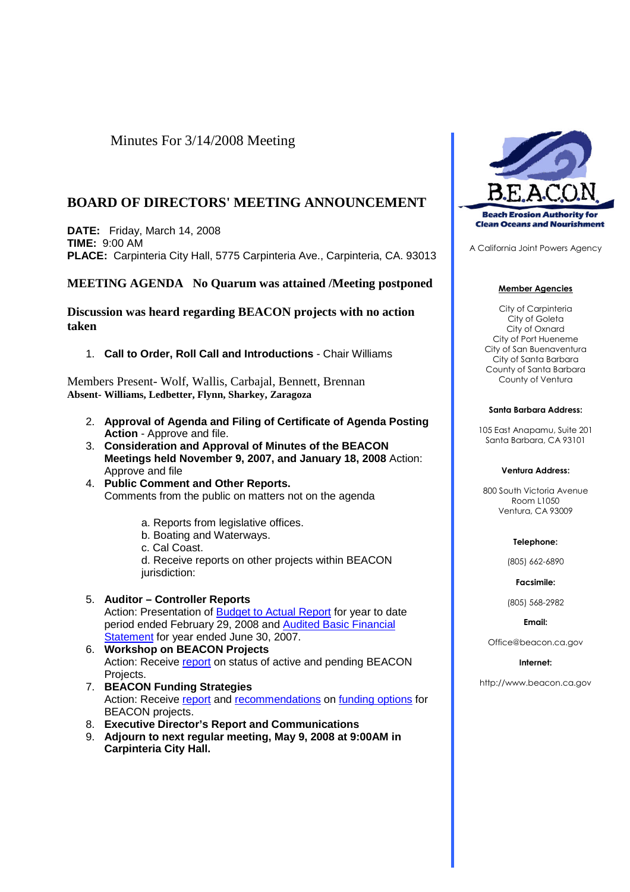# Minutes For 3/14/2008 Meeting

## **BOARD OF DIRECTORS' MEETING ANNOUNCEMENT**

**DATE:** Friday, March 14, 2008 **TIME:** 9:00 AM **PLACE:** Carpinteria City Hall, 5775 Carpinteria Ave., Carpinteria, CA. 93013

### **MEETING AGENDA No Quarum was attained /Meeting postponed**

**Discussion was heard regarding BEACON projects with no action taken**

1. **Call to Order, Roll Call and Introductions** - Chair Williams

Members Present- Wolf, Wallis, Carbajal, Bennett, Brennan **Absent- Williams, Ledbetter, Flynn, Sharkey, Zaragoza**

- 2. **Approval of Agenda and Filing of Certificate of Agenda Posting Action** - Approve and file.
- 3. **Consideration and Approval of Minutes of the BEACON Meetings held November 9, 2007, and January 18, 2008** Action: Approve and file
- 4. **Public Comment and Other Reports.** Comments from the public on matters not on the agenda
	- a. Reports from legislative offices.
	- b. Boating and Waterways.
	- c. Cal Coast.
	- d. Receive reports on other projects within BEACON jurisdiction:

5. **Auditor – Controller Reports** Action: Presentation of Budget to Actual Report for year to date period ended February 29, 2008 and Audited Basic Financial Statement for year ended June 30, 2007.

- 6. **Workshop on BEACON Projects** Action: Receive report on status of active and pending BEACON Projects.
- 7. **BEACON Funding Strategies** Action: Receive report and recommendations on funding options for BEACON projects.
- 8. **Executive Director's Report and Communications**
- 9. **Adjourn to next regular meeting, May 9, 2008 at 9:00AM in Carpinteria City Hall.**



A California Joint Powers Agency

#### **Member Agencies**

City of Carpinteria City of Goleta City of Oxnard City of Port Hueneme City of San Buenaventura City of Santa Barbara County of Santa Barbara County of Ventura

#### **Santa Barbara Address:**

105 East Anapamu, Suite 201 Santa Barbara, CA 93101

#### **Ventura Address:**

800 South Victoria Avenue Room L1050 Ventura, CA 93009

#### **Telephone:**

(805) 662-6890

**Facsimile:**

(805) 568-2982

#### **Email:**

Office@beacon.ca.gov

### **Internet:**

http://www.beacon.ca.gov